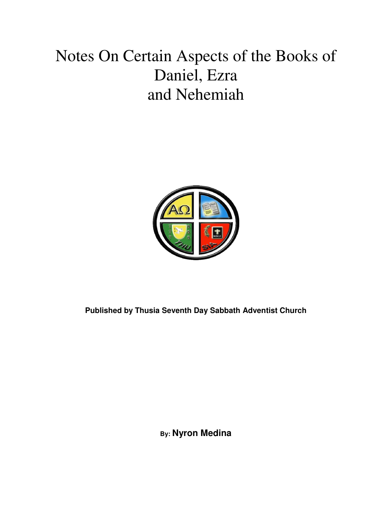## Notes On Certain Aspects of the Books of Daniel, Ezra and Nehemiah



**Published by Thusia Seventh Day Sabbath Adventist Church** 

**By: Nyron Medina**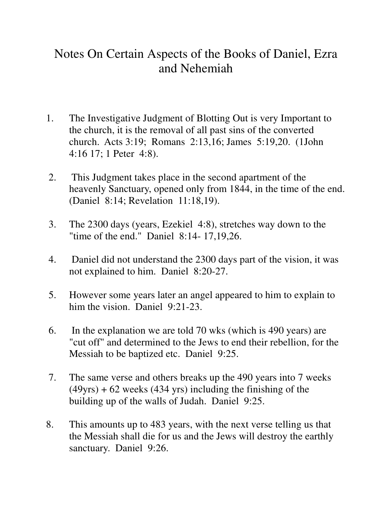## Notes On Certain Aspects of the Books of Daniel, Ezra and Nehemiah

- 1. The Investigative Judgment of Blotting Out is very Important to the church, it is the removal of all past sins of the converted church. Acts 3:19; Romans 2:13,16; James 5:19,20. (1John 4:16 17; 1 Peter 4:8).
- 2. This Judgment takes place in the second apartment of the heavenly Sanctuary, opened only from 1844, in the time of the end. (Daniel 8:14; Revelation 11:18,19).
- 3. The 2300 days (years, Ezekiel 4:8), stretches way down to the "time of the end." Daniel 8:14- 17,19,26.
- 4. Daniel did not understand the 2300 days part of the vision, it was not explained to him. Daniel 8:20-27.
- 5. However some years later an angel appeared to him to explain to him the vision. Daniel 9:21-23.
- 6. In the explanation we are told 70 wks (which is 490 years) are "cut off" and determined to the Jews to end their rebellion, for the Messiah to be baptized etc. Daniel 9:25.
- 7. The same verse and others breaks up the 490 years into 7 weeks  $(49\gamma rs) + 62$  weeks  $(434 \gamma rs)$  including the finishing of the building up of the walls of Judah. Daniel 9:25.
- 8. This amounts up to 483 years, with the next verse telling us that the Messiah shall die for us and the Jews will destroy the earthly sanctuary. Daniel 9:26.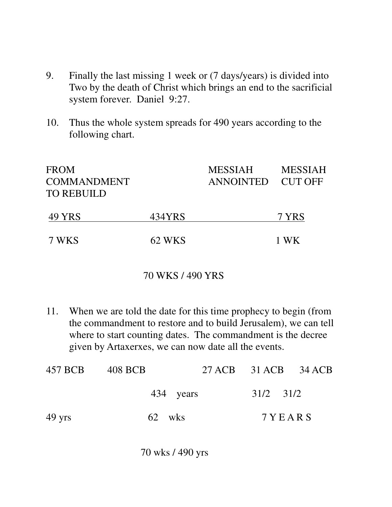- 9. Finally the last missing 1 week or (7 days/years) is divided into Two by the death of Christ which brings an end to the sacrificial system forever. Daniel 9:27.
- 10. Thus the whole system spreads for 490 years according to the following chart.

| <b>FROM</b><br><b>COMMANDMENT</b><br>TO REBUILD |        | <b>MESSIAH</b><br>ANNOINTED CUT OFF | <b>MESSIAH</b> |
|-------------------------------------------------|--------|-------------------------------------|----------------|
| 49 YRS                                          | 434YRS |                                     | 7 YRS          |
| 7 WKS                                           | 62 WKS |                                     | 1 WK           |

## 70 WKS / 490 YRS

11. When we are told the date for this time prophecy to begin (from the commandment to restore and to build Jerusalem), we can tell where to start counting dates. The commandment is the decree given by Artaxerxes, we can now date all the events.

| 457 BCB 408 BCB  |           | 27 ACB 31 ACB 34 ACB |  |
|------------------|-----------|----------------------|--|
|                  | 434 years | $31/2$ $31/2$        |  |
| $49 \text{ yrs}$ | 62 wks    | 7 Y E A R S          |  |

70 wks / 490 yrs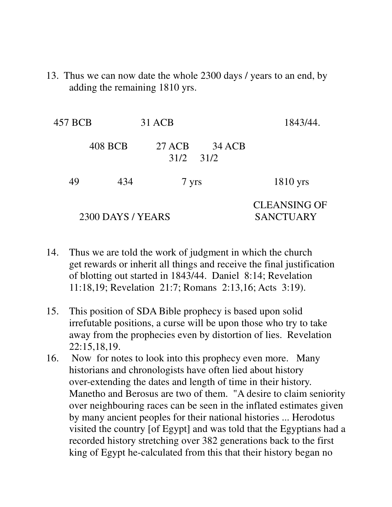13. Thus we can now date the whole 2300 days / years to an end, by adding the remaining 1810 yrs.

| 457 BCB |                   | 31 ACB |                         | 1843/44.                                |
|---------|-------------------|--------|-------------------------|-----------------------------------------|
|         | 408 BCB           | 27 ACB | 34 ACB<br>$31/2$ $31/2$ |                                         |
| 49      | 434               | 7 yrs  |                         | $1810$ yrs                              |
|         | 2300 DAYS / YEARS |        |                         | <b>CLEANSING OF</b><br><b>SANCTUARY</b> |

- 14. Thus we are told the work of judgment in which the church get rewards or inherit all things and receive the final justification of blotting out started in 1843/44. Daniel 8:14; Revelation 11:18,19; Revelation 21:7; Romans 2:13,16; Acts 3:19).
- 15. This position of SDA Bible prophecy is based upon solid irrefutable positions, a curse will be upon those who try to take away from the prophecies even by distortion of lies. Revelation 22:15,18,19.
- 16. Now for notes to look into this prophecy even more. Many historians and chronologists have often lied about history over-extending the dates and length of time in their history. Manetho and Berosus are two of them. "A desire to claim seniority over neighbouring races can be seen in the inflated estimates given by many ancient peoples for their national histories ... Herodotus visited the country [of Egypt] and was told that the Egyptians had a recorded history stretching over 382 generations back to the first king of Egypt he-calculated from this that their history began no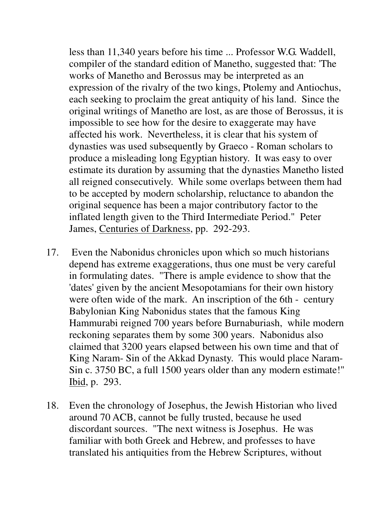less than 11,340 years before his time ... Professor W.G. Waddell, compiler of the standard edition of Manetho, suggested that: 'The works of Manetho and Berossus may be interpreted as an expression of the rivalry of the two kings, Ptolemy and Antiochus, each seeking to proclaim the great antiquity of his land. Since the original writings of Manetho are lost, as are those of Berossus, it is impossible to see how for the desire to exaggerate may have affected his work. Nevertheless, it is clear that his system of dynasties was used subsequently by Graeco - Roman scholars to produce a misleading long Egyptian history. It was easy to over estimate its duration by assuming that the dynasties Manetho listed all reigned consecutively. While some overlaps between them had to be accepted by modern scholarship, reluctance to abandon the original sequence has been a major contributory factor to the inflated length given to the Third Intermediate Period." Peter James, Centuries of Darkness, pp. 292-293.

- 17. Even the Nabonidus chronicles upon which so much historians depend has extreme exaggerations, thus one must be very careful in formulating dates. "There is ample evidence to show that the 'dates' given by the ancient Mesopotamians for their own history were often wide of the mark. An inscription of the 6th - century Babylonian King Nabonidus states that the famous King Hammurabi reigned 700 years before Burnaburiash, while modern reckoning separates them by some 300 years. Nabonidus also claimed that 3200 years elapsed between his own time and that of King Naram- Sin of the Akkad Dynasty. This would place Naram- Sin c. 3750 BC, a full 1500 years older than any modern estimate!" Ibid, p. 293.
- 18. Even the chronology of Josephus, the Jewish Historian who lived around 70 ACB, cannot be fully trusted, because he used discordant sources. "The next witness is Josephus. He was familiar with both Greek and Hebrew, and professes to have translated his antiquities from the Hebrew Scriptures, without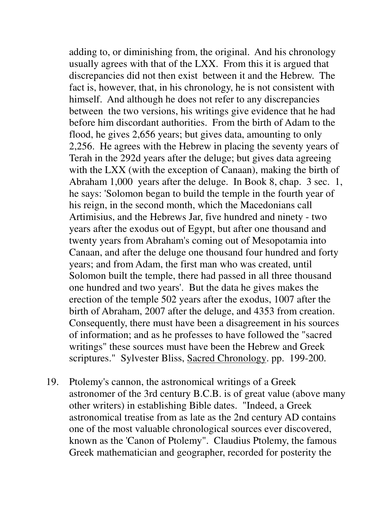adding to, or diminishing from, the original. And his chronology usually agrees with that of the LXX. From this it is argued that discrepancies did not then exist between it and the Hebrew. The fact is, however, that, in his chronology, he is not consistent with himself. And although he does not refer to any discrepancies between the two versions, his writings give evidence that he had before him discordant authorities. From the birth of Adam to the flood, he gives 2,656 years; but gives data, amounting to only 2,256. He agrees with the Hebrew in placing the seventy years of Terah in the 292d years after the deluge; but gives data agreeing with the LXX (with the exception of Canaan), making the birth of Abraham 1,000 years after the deluge. In Book 8, chap. 3 sec. 1, he says: 'Solomon began to build the temple in the fourth year of his reign, in the second month, which the Macedonians call Artimisius, and the Hebrews Jar, five hundred and ninety - two years after the exodus out of Egypt, but after one thousand and twenty years from Abraham's coming out of Mesopotamia into Canaan, and after the deluge one thousand four hundred and forty years; and from Adam, the first man who was created, until Solomon built the temple, there had passed in all three thousand one hundred and two years'. But the data he gives makes the erection of the temple 502 years after the exodus, 1007 after the birth of Abraham, 2007 after the deluge, and 4353 from creation. Consequently, there must have been a disagreement in his sources of information; and as he professes to have followed the "sacred writings" these sources must have been the Hebrew and Greek scriptures." Sylvester Bliss, Sacred Chronology. pp. 199-200.

19. Ptolemy's cannon, the astronomical writings of a Greek astronomer of the 3rd century B.C.B. is of great value (above many other writers) in establishing Bible dates. "Indeed, a Greek astronomical treatise from as late as the 2nd century AD contains one of the most valuable chronological sources ever discovered, known as the 'Canon of Ptolemy". Claudius Ptolemy, the famous Greek mathematician and geographer, recorded for posterity the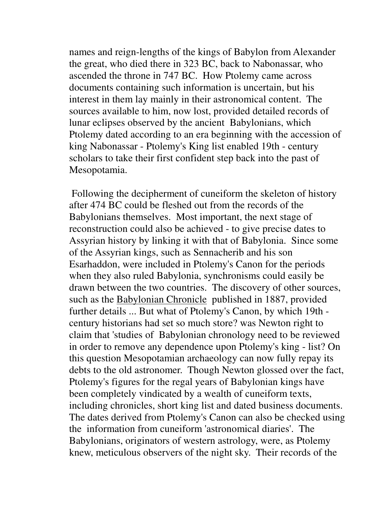names and reign-lengths of the kings of Babylon from Alexander the great, who died there in 323 BC, back to Nabonassar, who ascended the throne in 747 BC. How Ptolemy came across documents containing such information is uncertain, but his interest in them lay mainly in their astronomical content. The sources available to him, now lost, provided detailed records of lunar eclipses observed by the ancient Babylonians, which Ptolemy dated according to an era beginning with the accession of king Nabonassar - Ptolemy's King list enabled 19th - century scholars to take their first confident step back into the past of Mesopotamia.

 Following the decipherment of cuneiform the skeleton of history after 474 BC could be fleshed out from the records of the Babylonians themselves. Most important, the next stage of reconstruction could also be achieved - to give precise dates to Assyrian history by linking it with that of Babylonia. Since some of the Assyrian kings, such as Sennacherib and his son Esarhaddon, were included in Ptolemy's Canon for the periods when they also ruled Babylonia, synchronisms could easily be drawn between the two countries. The discovery of other sources, such as the Babylonian Chronicle published in 1887, provided further details ... But what of Ptolemy's Canon, by which 19th century historians had set so much store? was Newton right to claim that 'studies of Babylonian chronology need to be reviewed in order to remove any dependence upon Ptolemy's king - list? On this question Mesopotamian archaeology can now fully repay its debts to the old astronomer. Though Newton glossed over the fact, Ptolemy's figures for the regal years of Babylonian kings have been completely vindicated by a wealth of cuneiform texts, including chronicles, short king list and dated business documents. The dates derived from Ptolemy's Canon can also be checked using the information from cuneiform 'astronomical diaries'. The Babylonians, originators of western astrology, were, as Ptolemy knew, meticulous observers of the night sky. Their records of the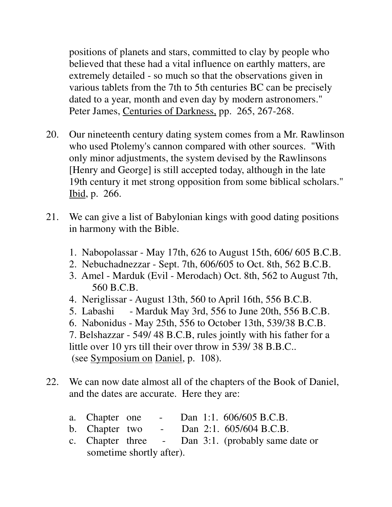positions of planets and stars, committed to clay by people who believed that these had a vital influence on earthly matters, are extremely detailed - so much so that the observations given in various tablets from the 7th to 5th centuries BC can be precisely dated to a year, month and even day by modern astronomers." Peter James, Centuries of Darkness, pp. 265, 267-268.

- 20. Our nineteenth century dating system comes from a Mr. Rawlinson who used Ptolemy's cannon compared with other sources. "With only minor adjustments, the system devised by the Rawlinsons [Henry and George] is still accepted today, although in the late 19th century it met strong opposition from some biblical scholars." Ibid, p. 266.
- 21. We can give a list of Babylonian kings with good dating positions in harmony with the Bible.
	- 1. Nabopolassar May 17th, 626 to August 15th, 606/ 605 B.C.B.
	- 2. Nebuchadnezzar Sept. 7th, 606/605 to Oct. 8th, 562 B.C.B.
	- 3. Amel Marduk (Evil Merodach) Oct. 8th, 562 to August 7th, 560 B.C.B.
	- 4. Neriglissar August 13th, 560 to April 16th, 556 B.C.B.
	- 5. Labashi Marduk May 3rd, 556 to June 20th, 556 B.C.B.

 6. Nabonidus - May 25th, 556 to October 13th, 539/38 B.C.B. 7. Belshazzar - 549/ 48 B.C.B, rules jointly with his father for a little over 10 yrs till their over throw in 539/ 38 B.B.C.. (see Symposium on Daniel, p. 108).

- 22. We can now date almost all of the chapters of the Book of Daniel, and the dates are accurate. Here they are:
	- a. Chapter one Dan 1:1. 606/605 B.C.B.
	- b. Chapter two Dan 2:1. 605/604 B.C.B.
	- c. Chapter three Dan 3:1. (probably same date or sometime shortly after).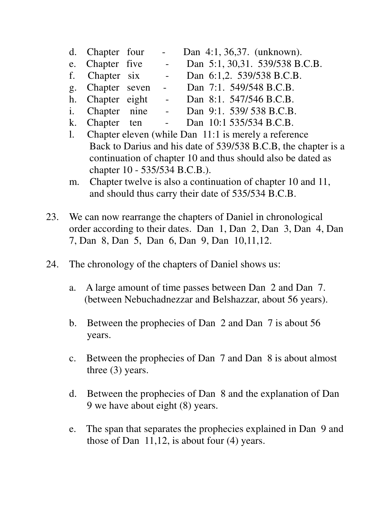- d. Chapter four Dan 4:1, 36,37. (unknown).
- e. Chapter five Dan 5:1, 30,31. 539/538 B.C.B.<br>f. Chapter six Dan 6:1,2. 539/538 B.C.B. f. Chapter six - Dan 6:1,2. 539/538 B.C.B.
- g. Chapter seven Dan 7:1. 549/548 B.C.B.
- h. Chapter eight Dan 8:1. 547/546 B.C.B.
- i. Chapter nine Dan 9:1. 539/ 538 B.C.B.
- k. Chapter ten Dan 10:1 535/534 B.C.B.
- l. Chapter eleven (while Dan 11:1 is merely a reference Back to Darius and his date of 539/538 B.C.B, the chapter is a continuation of chapter 10 and thus should also be dated as chapter 10 - 535/534 B.C.B.).
- m. Chapter twelve is also a continuation of chapter 10 and 11, and should thus carry their date of 535/534 B.C.B.
- 23. We can now rearrange the chapters of Daniel in chronological order according to their dates. Dan 1, Dan 2, Dan 3, Dan 4, Dan 7, Dan 8, Dan 5, Dan 6, Dan 9, Dan 10,11,12.
- 24. The chronology of the chapters of Daniel shows us:
	- a. A large amount of time passes between Dan 2 and Dan 7. (between Nebuchadnezzar and Belshazzar, about 56 years).
	- b. Between the prophecies of Dan 2 and Dan 7 is about 56 years.
	- c. Between the prophecies of Dan 7 and Dan 8 is about almost three (3) years.
	- d. Between the prophecies of Dan 8 and the explanation of Dan 9 we have about eight (8) years.
	- e. The span that separates the prophecies explained in Dan 9 and those of Dan 11,12, is about four (4) years.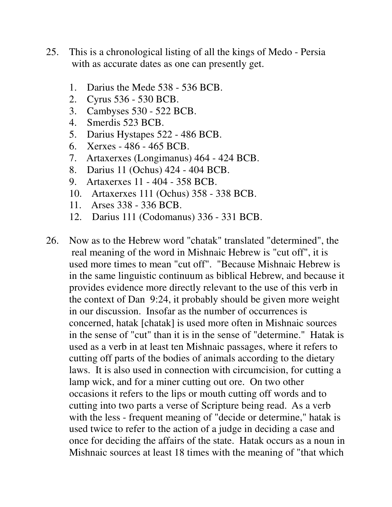- 25. This is a chronological listing of all the kings of Medo Persia with as accurate dates as one can presently get.
	- 1. Darius the Mede 538 536 BCB.
	- 2. Cyrus 536 530 BCB.
	- 3. Cambyses 530 522 BCB.
	- 4. Smerdis 523 BCB.
	- 5. Darius Hystapes 522 486 BCB.
	- 6. Xerxes 486 465 BCB.
	- 7. Artaxerxes (Longimanus) 464 424 BCB.
	- 8. Darius 11 (Ochus) 424 404 BCB.
	- 9. Artaxerxes 11 404 358 BCB.
	- 10. Artaxerxes 111 (Ochus) 358 338 BCB.
	- 11. Arses 338 336 BCB.
	- 12. Darius 111 (Codomanus) 336 331 BCB.
- 26. Now as to the Hebrew word "chatak" translated "determined", the real meaning of the word in Mishnaic Hebrew is "cut off", it is used more times to mean "cut off". "Because Mishnaic Hebrew is in the same linguistic continuum as biblical Hebrew, and because it provides evidence more directly relevant to the use of this verb in the context of Dan 9:24, it probably should be given more weight in our discussion. Insofar as the number of occurrences is concerned, hatak [chatak] is used more often in Mishnaic sources in the sense of "cut" than it is in the sense of "determine." Hatak is used as a verb in at least ten Mishnaic passages, where it refers to cutting off parts of the bodies of animals according to the dietary laws. It is also used in connection with circumcision, for cutting a lamp wick, and for a miner cutting out ore. On two other occasions it refers to the lips or mouth cutting off words and to cutting into two parts a verse of Scripture being read. As a verb with the less - frequent meaning of "decide or determine," hatak is used twice to refer to the action of a judge in deciding a case and once for deciding the affairs of the state. Hatak occurs as a noun in Mishnaic sources at least 18 times with the meaning of "that which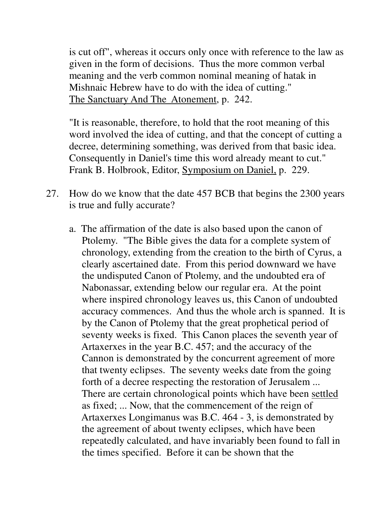is cut off", whereas it occurs only once with reference to the law as given in the form of decisions. Thus the more common verbal meaning and the verb common nominal meaning of hatak in Mishnaic Hebrew have to do with the idea of cutting." The Sanctuary And The Atonement, p. 242.

 "It is reasonable, therefore, to hold that the root meaning of this word involved the idea of cutting, and that the concept of cutting a decree, determining something, was derived from that basic idea. Consequently in Daniel's time this word already meant to cut." Frank B. Holbrook, Editor, Symposium on Daniel, p. 229.

- 27. How do we know that the date 457 BCB that begins the 2300 years is true and fully accurate?
	- a. The affirmation of the date is also based upon the canon of Ptolemy. "The Bible gives the data for a complete system of chronology, extending from the creation to the birth of Cyrus, a clearly ascertained date. From this period downward we have the undisputed Canon of Ptolemy, and the undoubted era of Nabonassar, extending below our regular era. At the point where inspired chronology leaves us, this Canon of undoubted accuracy commences. And thus the whole arch is spanned. It is by the Canon of Ptolemy that the great prophetical period of seventy weeks is fixed. This Canon places the seventh year of Artaxerxes in the year B.C. 457; and the accuracy of the Cannon is demonstrated by the concurrent agreement of more that twenty eclipses. The seventy weeks date from the going forth of a decree respecting the restoration of Jerusalem ... There are certain chronological points which have been settled as fixed; ... Now, that the commencement of the reign of Artaxerxes Longimanus was B.C. 464 - 3, is demonstrated by the agreement of about twenty eclipses, which have been repeatedly calculated, and have invariably been found to fall in the times specified. Before it can be shown that the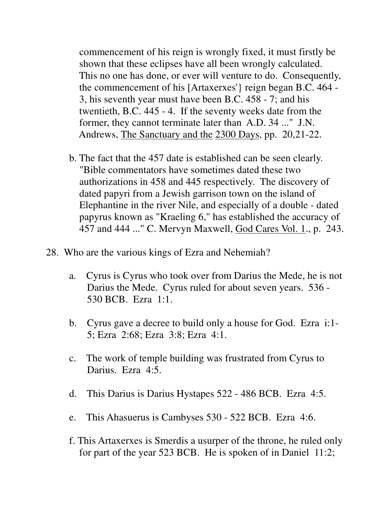commencement of his reign is wrongly fixed, it must firstly be shown that these eclipses have all been wrongly calculated. This no one has done, or ever will venture to do. Consequently, the commencement of his [Artaxerxes'} reign began B.C. 464 - 3, his seventh year must have been B.C. 458 - 7; and his twentieth, B.C. 445 - 4. If the seventy weeks date from the former, they cannot terminate later than A.D. 34 ..." J.N. Andrews, The Sanctuary and the 2300 Days, pp. 20,21-22.

- b. The fact that the 457 date is established can be seen clearly. "Bible commentators have sometimes dated these two authorizations in 458 and 445 respectively. The discovery of dated papyri from a Jewish garrison town on the island of Elephantine in the river Nile, and especially of a double - dated papyrus known as "Kraeling 6," has established the accuracy of 457 and 444 ..." C. Mervyn Maxwell, God Cares Vol. 1., p. 243.
- 28. Who are the various kings of Ezra and Nehemiah?
	- a. Cyrus is Cyrus who took over from Darius the Mede, he is not Darius the Mede. Cyrus ruled for about seven years. 536 - 530 BCB. Ezra 1:1.
	- b. Cyrus gave a decree to build only a house for God. Ezra i:1- 5; Ezra 2:68; Ezra 3:8; Ezra 4:1.
	- c. The work of temple building was frustrated from Cyrus to Darius. Ezra 4:5.
	- d. This Darius is Darius Hystapes 522 486 BCB. Ezra 4:5.
	- e. This Ahasuerus is Cambyses 530 522 BCB. Ezra 4:6.
	- f. This Artaxerxes is Smerdis a usurper of the throne, he ruled only for part of the year 523 BCB. He is spoken of in Daniel 11:2;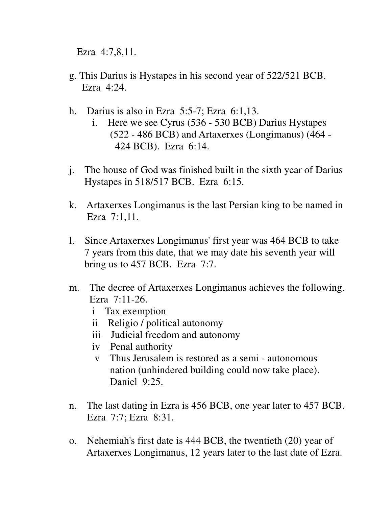Ezra 4:7,8,11.

- g. This Darius is Hystapes in his second year of 522/521 BCB. Ezra 4:24.
- h. Darius is also in Ezra 5:5-7; Ezra 6:1,13.
	- i. Here we see Cyrus (536 530 BCB) Darius Hystapes (522 - 486 BCB) and Artaxerxes (Longimanus) (464 - 424 BCB). Ezra 6:14.
- j. The house of God was finished built in the sixth year of Darius Hystapes in 518/517 BCB. Ezra 6:15.
- k. Artaxerxes Longimanus is the last Persian king to be named in Ezra 7:1,11.
- l. Since Artaxerxes Longimanus' first year was 464 BCB to take 7 years from this date, that we may date his seventh year will bring us to 457 BCB. Ezra 7:7.
- m. The decree of Artaxerxes Longimanus achieves the following. Ezra 7:11-26.
	- i Tax exemption
	- ii Religio / political autonomy
	- iii Judicial freedom and autonomy
	- iv Penal authority
	- v Thus Jerusalem is restored as a semi autonomous nation (unhindered building could now take place). Daniel 9:25.
- n. The last dating in Ezra is 456 BCB, one year later to 457 BCB. Ezra 7:7; Ezra 8:31.
- o. Nehemiah's first date is 444 BCB, the twentieth (20) year of Artaxerxes Longimanus, 12 years later to the last date of Ezra.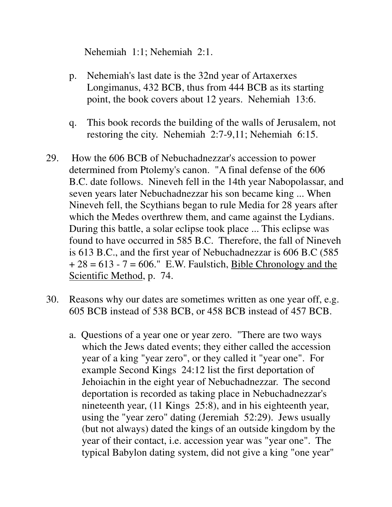Nehemiah 1:1; Nehemiah 2:1.

- p. Nehemiah's last date is the 32nd year of Artaxerxes Longimanus, 432 BCB, thus from 444 BCB as its starting point, the book covers about 12 years. Nehemiah 13:6.
- q. This book records the building of the walls of Jerusalem, not restoring the city. Nehemiah 2:7-9,11; Nehemiah 6:15.
- 29. How the 606 BCB of Nebuchadnezzar's accession to power determined from Ptolemy's canon. "A final defense of the 606 B.C. date follows. Nineveh fell in the 14th year Nabopolassar, and seven years later Nebuchadnezzar his son became king ... When Nineveh fell, the Scythians began to rule Media for 28 years after which the Medes overthrew them, and came against the Lydians. During this battle, a solar eclipse took place ... This eclipse was found to have occurred in 585 B.C. Therefore, the fall of Nineveh is 613 B.C., and the first year of Nebuchadnezzar is 606 B.C (585  $+ 28 = 613 - 7 = 606.$ " E.W. Faulstich, Bible Chronology and the Scientific Method, p. 74.
- 30. Reasons why our dates are sometimes written as one year off, e.g. 605 BCB instead of 538 BCB, or 458 BCB instead of 457 BCB.
	- a. Questions of a year one or year zero. "There are two ways which the Jews dated events; they either called the accession year of a king "year zero", or they called it "year one". For example Second Kings 24:12 list the first deportation of Jehoiachin in the eight year of Nebuchadnezzar. The second deportation is recorded as taking place in Nebuchadnezzar's nineteenth year, (11 Kings 25:8), and in his eighteenth year, using the "year zero" dating (Jeremiah 52:29). Jews usually (but not always) dated the kings of an outside kingdom by the year of their contact, i.e. accession year was "year one". The typical Babylon dating system, did not give a king "one year"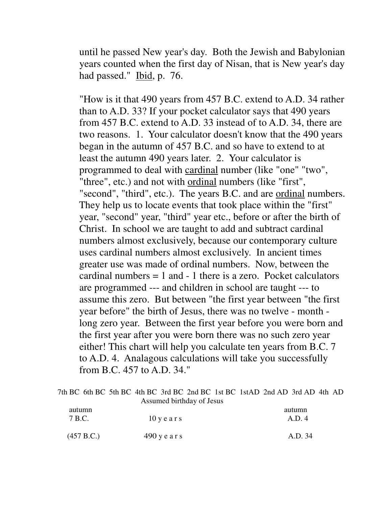until he passed New year's day. Both the Jewish and Babylonian years counted when the first day of Nisan, that is New year's day had passed." Ibid, p. 76.

 "How is it that 490 years from 457 B.C. extend to A.D. 34 rather than to A.D. 33? If your pocket calculator says that 490 years from 457 B.C. extend to A.D. 33 instead of to A.D. 34, there are two reasons. 1. Your calculator doesn't know that the 490 years began in the autumn of 457 B.C. and so have to extend to at least the autumn 490 years later. 2. Your calculator is programmed to deal with cardinal number (like "one" "two", "three", etc.) and not with ordinal numbers (like "first", "second", "third", etc.). The years B.C. and are ordinal numbers. They help us to locate events that took place within the "first" year, "second" year, "third" year etc., before or after the birth of Christ. In school we are taught to add and subtract cardinal numbers almost exclusively, because our contemporary culture uses cardinal numbers almost exclusively. In ancient times greater use was made of ordinal numbers. Now, between the cardinal numbers  $= 1$  and  $- 1$  there is a zero. Pocket calculators are programmed --- and children in school are taught --- to assume this zero. But between "the first year between "the first year before" the birth of Jesus, there was no twelve - month long zero year. Between the first year before you were born and the first year after you were born there was no such zero year either! This chart will help you calculate ten years from B.C. 7 to A.D. 4. Analagous calculations will take you successfully from B.C. 457 to A.D. 34."

|            |                           | 7th BC 6th BC 5th BC 4th BC 3rd BC 2nd BC 1st BC 1stAD 2nd AD 3rd AD 4th AD |  |
|------------|---------------------------|-----------------------------------------------------------------------------|--|
|            | Assumed birthday of Jesus |                                                                             |  |
| autumn     |                           | autumn                                                                      |  |
| 7 B.C.     | $10$ y e a r s            | A.D.4                                                                       |  |
|            |                           |                                                                             |  |
| (457 B.C.) | $490$ y e a r s           | A.D. 34                                                                     |  |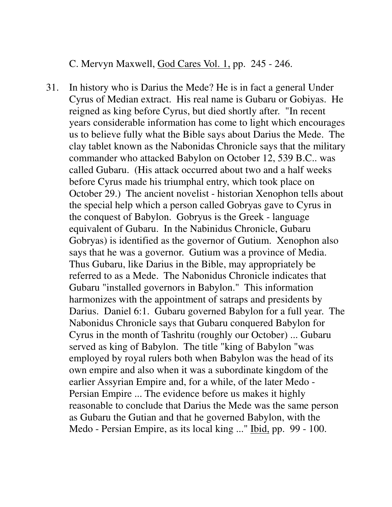C. Mervyn Maxwell, God Cares Vol. 1, pp. 245 - 246.

31. In history who is Darius the Mede? He is in fact a general Under Cyrus of Median extract. His real name is Gubaru or Gobiyas. He reigned as king before Cyrus, but died shortly after. "In recent years considerable information has come to light which encourages us to believe fully what the Bible says about Darius the Mede. The clay tablet known as the Nabonidas Chronicle says that the military commander who attacked Babylon on October 12, 539 B.C.. was called Gubaru. (His attack occurred about two and a half weeks before Cyrus made his triumphal entry, which took place on October 29.) The ancient novelist - historian Xenophon tells about the special help which a person called Gobryas gave to Cyrus in the conquest of Babylon. Gobryus is the Greek - language equivalent of Gubaru. In the Nabinidus Chronicle, Gubaru Gobryas) is identified as the governor of Gutium. Xenophon also says that he was a governor. Gutium was a province of Media. Thus Gubaru, like Darius in the Bible, may appropriately be referred to as a Mede. The Nabonidus Chronicle indicates that Gubaru "installed governors in Babylon." This information harmonizes with the appointment of satraps and presidents by Darius. Daniel 6:1. Gubaru governed Babylon for a full year. The Nabonidus Chronicle says that Gubaru conquered Babylon for Cyrus in the month of Tashritu (roughly our October) ... Gubaru served as king of Babylon. The title "king of Babylon "was employed by royal rulers both when Babylon was the head of its own empire and also when it was a subordinate kingdom of the earlier Assyrian Empire and, for a while, of the later Medo - Persian Empire ... The evidence before us makes it highly reasonable to conclude that Darius the Mede was the same person as Gubaru the Gutian and that he governed Babylon, with the Medo - Persian Empire, as its local king ..." Ibid, pp. 99 - 100.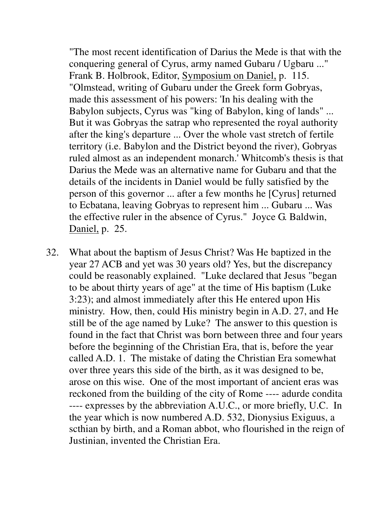"The most recent identification of Darius the Mede is that with the conquering general of Cyrus, army named Gubaru / Ugbaru ..." Frank B. Holbrook, Editor, Symposium on Daniel, p. 115. "Olmstead, writing of Gubaru under the Greek form Gobryas, made this assessment of his powers: 'In his dealing with the Babylon subjects, Cyrus was "king of Babylon, king of lands" ... But it was Gobryas the satrap who represented the royal authority after the king's departure ... Over the whole vast stretch of fertile territory (i.e. Babylon and the District beyond the river), Gobryas ruled almost as an independent monarch.' Whitcomb's thesis is that Darius the Mede was an alternative name for Gubaru and that the details of the incidents in Daniel would be fully satisfied by the person of this governor ... after a few months he [Cyrus] returned to Ecbatana, leaving Gobryas to represent him ... Gubaru ... Was the effective ruler in the absence of Cyrus." Joyce G. Baldwin, Daniel, p. 25.

32. What about the baptism of Jesus Christ? Was He baptized in the year 27 ACB and yet was 30 years old? Yes, but the discrepancy could be reasonably explained. "Luke declared that Jesus "began to be about thirty years of age" at the time of His baptism (Luke 3:23); and almost immediately after this He entered upon His ministry. How, then, could His ministry begin in A.D. 27, and He still be of the age named by Luke? The answer to this question is found in the fact that Christ was born between three and four years before the beginning of the Christian Era, that is, before the year called A.D. 1. The mistake of dating the Christian Era somewhat over three years this side of the birth, as it was designed to be, arose on this wise. One of the most important of ancient eras was reckoned from the building of the city of Rome ---- adurde condita ---- expresses by the abbreviation A.U.C., or more briefly, U.C. In the year which is now numbered A.D. 532, Dionysius Exiguus, a scthian by birth, and a Roman abbot, who flourished in the reign of Justinian, invented the Christian Era.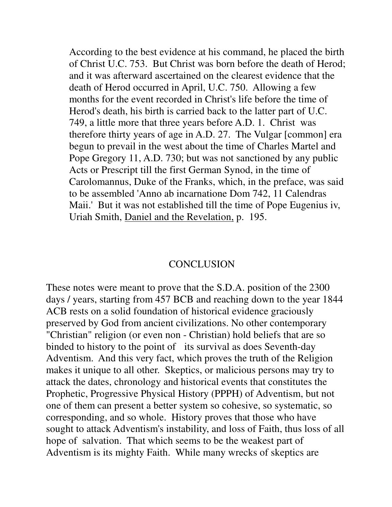According to the best evidence at his command, he placed the birth of Christ U.C. 753. But Christ was born before the death of Herod; and it was afterward ascertained on the clearest evidence that the death of Herod occurred in April, U.C. 750. Allowing a few months for the event recorded in Christ's life before the time of Herod's death, his birth is carried back to the latter part of U.C. 749, a little more that three years before A.D. 1. Christ was therefore thirty years of age in A.D. 27. The Vulgar [common] era begun to prevail in the west about the time of Charles Martel and Pope Gregory 11, A.D. 730; but was not sanctioned by any public Acts or Prescript till the first German Synod, in the time of Carolomannus, Duke of the Franks, which, in the preface, was said to be assembled 'Anno ab incarnatione Dom 742, 11 Calendras Maii.' But it was not established till the time of Pope Eugenius iv, Uriah Smith, Daniel and the Revelation, p. 195.

## **CONCLUSION**

These notes were meant to prove that the S.D.A. position of the 2300 days / years, starting from 457 BCB and reaching down to the year 1844 ACB rests on a solid foundation of historical evidence graciously preserved by God from ancient civilizations. No other contemporary "Christian" religion (or even non - Christian) hold beliefs that are so binded to history to the point of its survival as does Seventh-day Adventism. And this very fact, which proves the truth of the Religion makes it unique to all other. Skeptics, or malicious persons may try to attack the dates, chronology and historical events that constitutes the Prophetic, Progressive Physical History (PPPH) of Adventism, but not one of them can present a better system so cohesive, so systematic, so corresponding, and so whole. History proves that those who have sought to attack Adventism's instability, and loss of Faith, thus loss of all hope of salvation. That which seems to be the weakest part of Adventism is its mighty Faith. While many wrecks of skeptics are